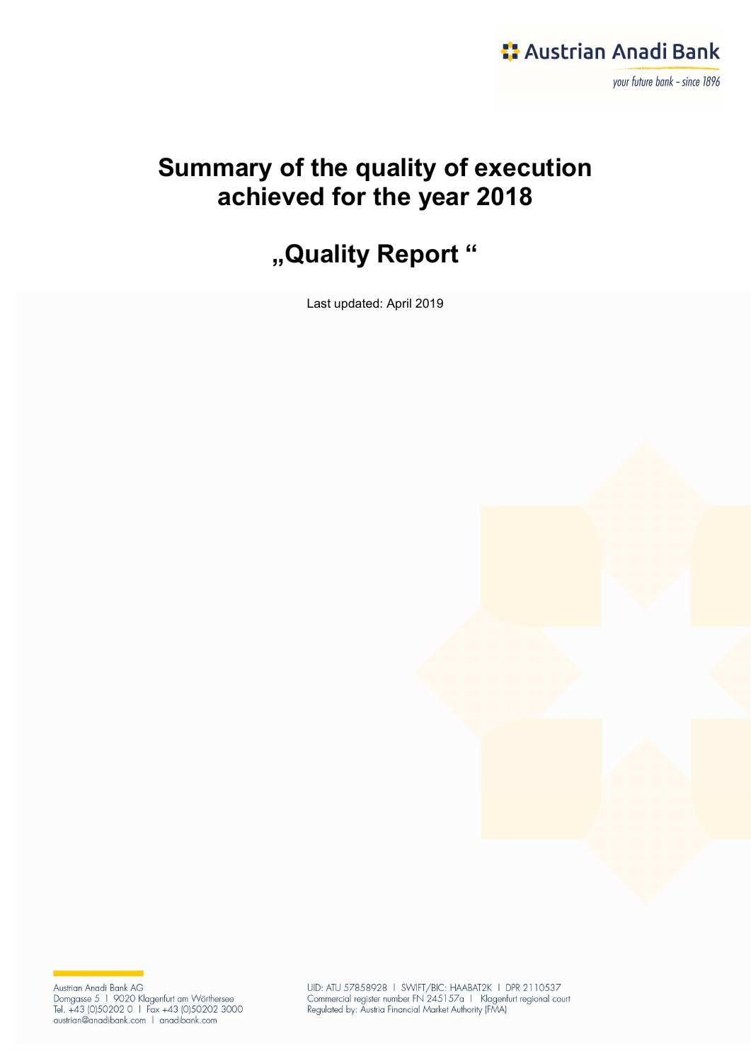

## Summary of the quality of execution achieved for the year 2018

# "Quality Report"

Last updated: April 2019

Austrian Anadi Bank AG<br>Domgasse 5 1 9020 Klagenfurt am Wörthersee<br>Tel. +43 (0)50202 0 1 Fax +43 (0)50202 3000<br>austrian@anadibank.com 1 anadibank.com

UID: ATU 57858928 | SWIFT/BIC: HAABAT2K | DPR 2110537 Commercial register number FN 245157a 1 Klagenfurt regional court<br>Regulated by: Austria Financial Market Authority (FMA)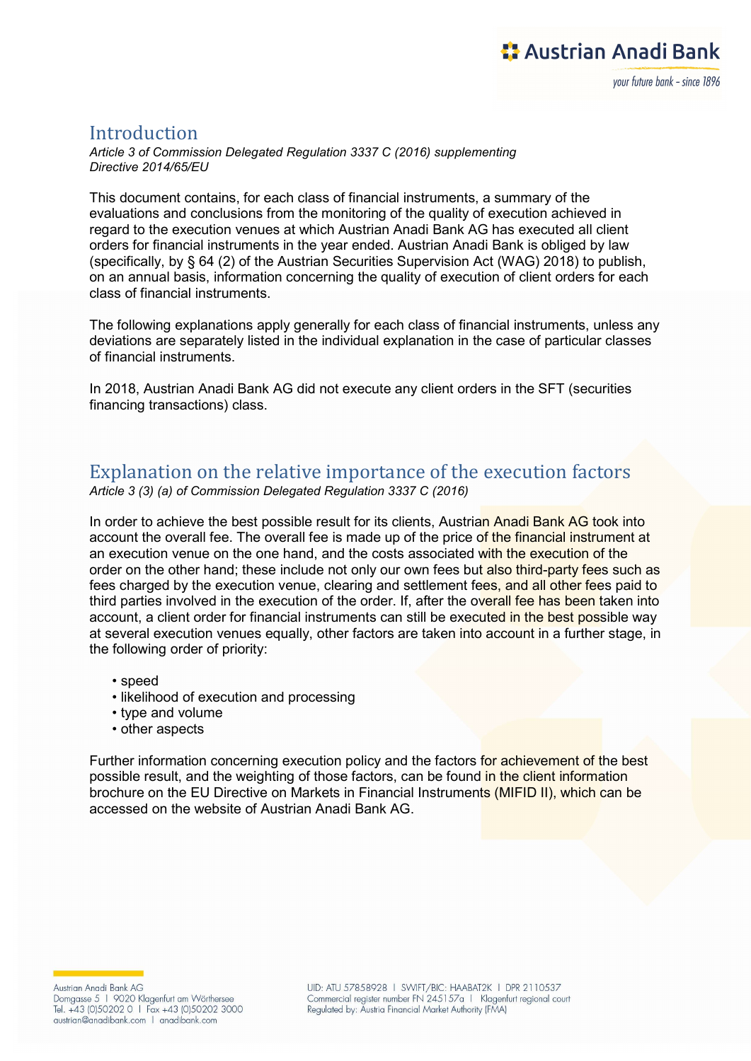#### Introduction

Article 3 of Commission Delegated Regulation 3337 C (2016) supplementing Directive 2014/65/EU

This document contains, for each class of financial instruments, a summary of the evaluations and conclusions from the monitoring of the quality of execution achieved in regard to the execution venues at which Austrian Anadi Bank AG has executed all client orders for financial instruments in the year ended. Austrian Anadi Bank is obliged by law (specifically, by § 64 (2) of the Austrian Securities Supervision Act (WAG) 2018) to publish, on an annual basis, information concerning the quality of execution of client orders for each class of financial instruments.

The following explanations apply generally for each class of financial instruments, unless any deviations are separately listed in the individual explanation in the case of particular classes of financial instruments.

In 2018, Austrian Anadi Bank AG did not execute any client orders in the SFT (securities financing transactions) class.

#### Explanation on the relative importance of the execution factors Article 3 (3) (a) of Commission Delegated Regulation 3337 C (2016)

In order to achieve the best possible result for its clients, Austrian Anadi Bank AG took into account the overall fee. The overall fee is made up of the price of the financial instrument at an execution venue on the one hand, and the costs associated with the execution of the order on the other hand; these include not only our own fees but also third-party fees such as fees charged by the execution venue, clearing and settlement fees, and all other fees paid to third parties involved in the execution of the order. If, after the overall fee has been taken into account, a client order for financial instruments can still be executed in the best possible way at several execution venues equally, other factors are taken into account in a further stage, in the following order of priority:

- speed
- likelihood of execution and processing
- type and volume
- other aspects

Further information concerning execution policy and the factors for achievement of the best possible result, and the weighting of those factors, can be found in the client information brochure on the EU Directive on Markets in Financial Instruments (MIFID II), which can be accessed on the website of Austrian Anadi Bank AG.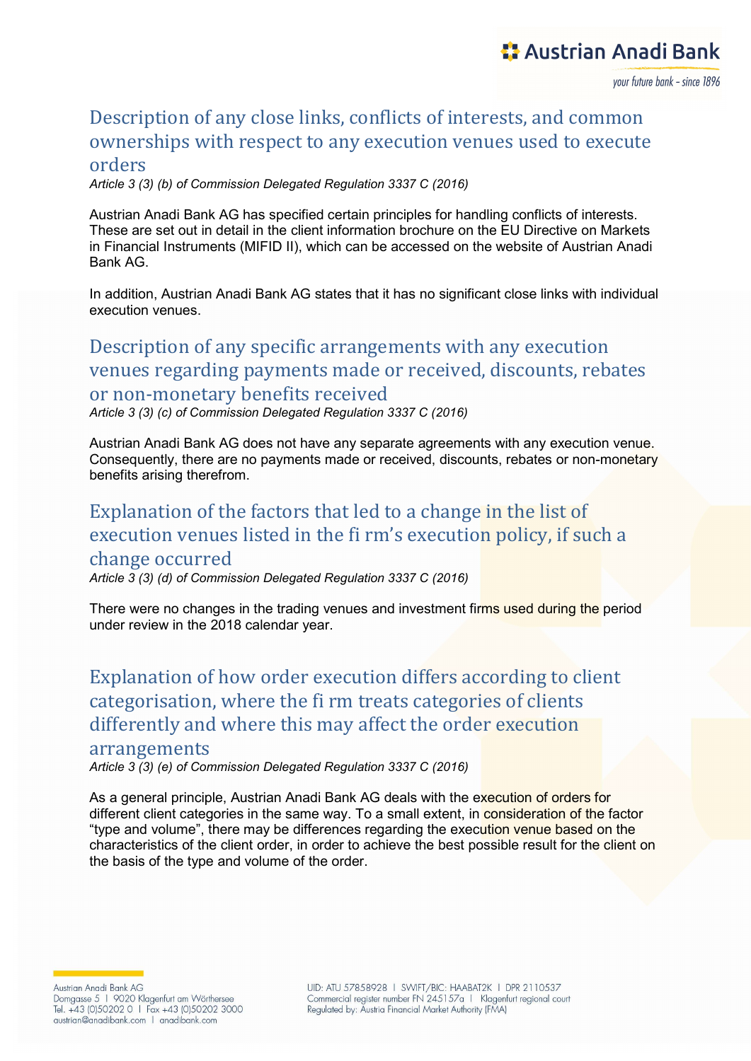vour future bank - since 1896

## Description of any close links, conflicts of interests, and common ownerships with respect to any execution venues used to execute

#### orders

Article 3 (3) (b) of Commission Delegated Regulation 3337 C (2016)

Austrian Anadi Bank AG has specified certain principles for handling conflicts of interests. These are set out in detail in the client information brochure on the EU Directive on Markets in Financial Instruments (MIFID II), which can be accessed on the website of Austrian Anadi Bank AG.

In addition, Austrian Anadi Bank AG states that it has no significant close links with individual execution venues.

### Description of any specific arrangements with any execution venues regarding payments made or received, discounts, rebates or non-monetary benefits received

Article 3 (3) (c) of Commission Delegated Regulation 3337 C (2016)

Austrian Anadi Bank AG does not have any separate agreements with any execution venue. Consequently, there are no payments made or received, discounts, rebates or non-monetary benefits arising therefrom.

#### Explanation of the factors that led to a change in the list of execution venues listed in the fi rm's execution policy, if such a change occurred

Article 3 (3) (d) of Commission Delegated Regulation 3337 C (2016)

There were no changes in the trading venues and investment firms used during the period under review in the 2018 calendar year.

Explanation of how order execution differs according to client categorisation, where the fi rm treats categories of clients differently and where this may affect the order execution

#### arrangements

Article 3 (3) (e) of Commission Delegated Regulation 3337 C (2016)

As a general principle, Austrian Anadi Bank AG deals with the execution of orders for different client categories in the same way. To a small extent, in consideration of the factor "type and volume", there may be differences regarding the execution venue based on the characteristics of the client order, in order to achieve the best possible result for the client on the basis of the type and volume of the order.